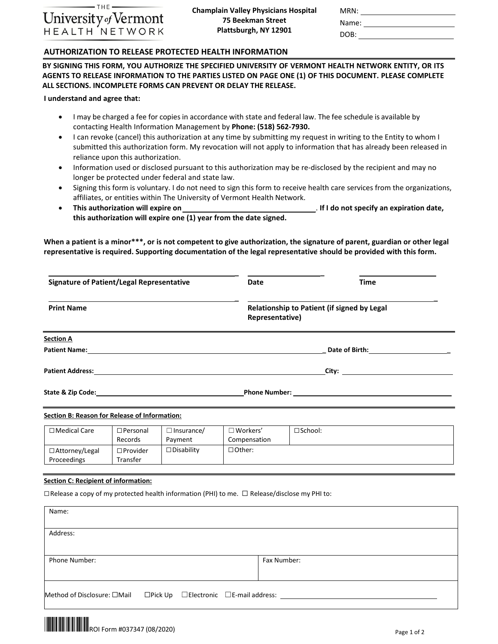

| MRN:  |  |
|-------|--|
| Name: |  |

DOB: \_\_\_\_\_\_

### **AUTHORIZATION TO RELEASE PROTECTED HEALTH INFORMATION**

**BY SIGNING THIS FORM, YOU AUTHORIZE THE SPECIFIED UNIVERSITY OF VERMONT HEALTH NETWORK ENTITY, OR ITS AGENTS TO RELEASE INFORMATION TO THE PARTIES LISTED ON PAGE ONE (1) OF THIS DOCUMENT. PLEASE COMPLETE ALL SECTIONS. INCOMPLETE FORMS CAN PREVENT OR DELAY THE RELEASE.**

**I understand and agree that:**

- I may be charged a fee for copies in accordance with state and federal law. The fee schedule is available by contacting Health Information Management by **Phone: (518) 562-7930.**
- I can revoke (cancel) this authorization at any time by submitting my request in writing to the Entity to whom I submitted this authorization form. My revocation will not apply to information that has already been released in reliance upon this authorization.
- Information used or disclosed pursuant to this authorization may be re-disclosed by the recipient and may no longer be protected under federal and state law.
- Signing this form is voluntary. I do not need to sign this form to receive health care services from the organizations, affiliates, or entities within The University of Vermont Health Network.
- **This authorization will expire on this authorization will expire one (1) year from the date signed.** . **If I do not specify an expiration date,**

**When a patient is a minor\*\*\*, or is not competent to give authorization, the signature of parent, guardian or other legal representative is required. Supporting documentation of the legal representative should be provided with this form.**

| <b>Signature of Patient/Legal Representative</b> |                                                                                                                                                                                                                                                                                   | <b>Date</b>                          | <b>Time</b>                                                    |                   |  |
|--------------------------------------------------|-----------------------------------------------------------------------------------------------------------------------------------------------------------------------------------------------------------------------------------------------------------------------------------|--------------------------------------|----------------------------------------------------------------|-------------------|--|
| <b>Print Name</b>                                |                                                                                                                                                                                                                                                                                   |                                      | Relationship to Patient (if signed by Legal<br>Representative) |                   |  |
| <b>Section A</b>                                 |                                                                                                                                                                                                                                                                                   |                                      |                                                                |                   |  |
|                                                  | Patient Name: Name and Second Contract of the Contract of the Contract of the Contract of the Contract of the Contract of the Contract of the Contract of the Contract of the Contract of the Contract of the Contract of the                                                     |                                      |                                                                |                   |  |
|                                                  | <b>Patient Address:</b> The contract of the contract of the contract of the contract of the contract of the contract of the contract of the contract of the contract of the contract of the contract of the contract of the contrac<br><u> City: ____________________________</u> |                                      |                                                                |                   |  |
|                                                  | State & Zip Code: The State of the State of the State of the State of the State of the State of the State of the State of the State of the State of the State of the State of the State of the State of the State of the State                                                    |                                      |                                                                |                   |  |
| Section B: Reason for Release of Information:    |                                                                                                                                                                                                                                                                                   |                                      |                                                                |                   |  |
| $\Box$ Medical Care                              | $\square$ Personal                                                                                                                                                                                                                                                                | $\Box$ Insurance/<br>Desarde Deuxeau | $\square$ Workers'<br>Canadanasattan                           | $\square$ School: |  |

| Liviedical Cale       | <b>Lifersulidi</b> | $\Box$ ilisul dijuez | $\Box$ WURES  | O SCHOOL. |
|-----------------------|--------------------|----------------------|---------------|-----------|
|                       | Records            | Payment              | Compensation  |           |
| $\Box$ Attorney/Legal | $\square$ Provider | $\Box$ Disability    | $\Box$ Other: |           |
| Proceedings           | Transfer           |                      |               |           |

## **Section C: Recipient of information:**

☐Release a copy of my protected health information (PHI) to me. ☐ Release/disclose my PHI to:

| Name:                                                                                         |             |
|-----------------------------------------------------------------------------------------------|-------------|
| Address:                                                                                      |             |
| Phone Number:                                                                                 | Fax Number: |
| $\Box$ Pick Up $\Box$ Electronic $\Box$ E-mail address: $\Box$<br>Method of Disclosure: □Mail |             |